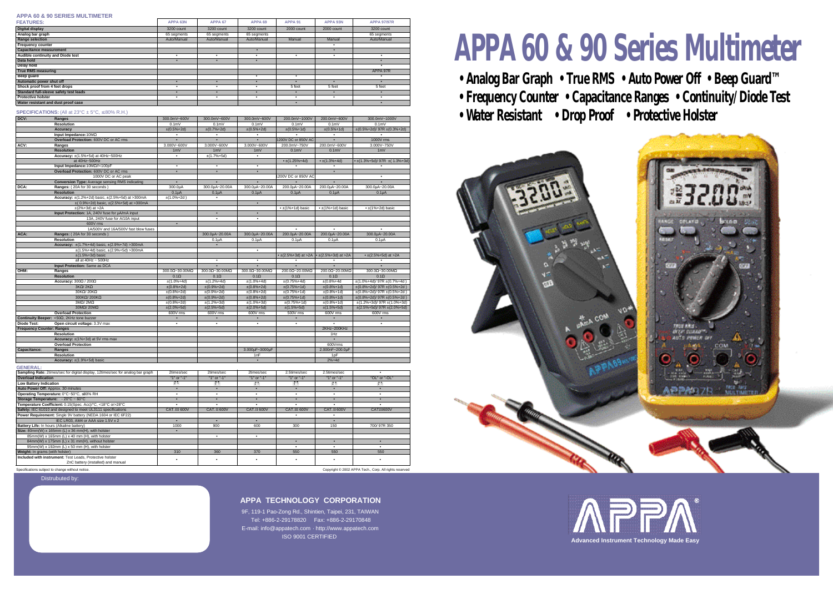# **APPA 60 & 90 Series Multimeter**

- **Analog Bar Graph True RMS Auto Power Off Beep Guard™**
- **Frequency Counter Capacitance Ranges Continuity/Diode Test**
- 



9F, 119-1 Pao-Zong Rd., Shintien, Taipei, 231, TAIWAN Tel: +886-2-29178820 Fax: +886-2-29170848 E-mail: info@appatech.com · http://www.appatech.com **ISO 9001 CERTIFIED** 

## Distrubuted by:

Specifications subject to change without notice. Copyright © 2002 APPA Tech., Corp. All rights reserved







#### **APPA 60 & 90 SERIES MULTIMETER**

| <b>FEATURES:</b>                       | APPA 63N    | APPA 67     | APPA <sub>69</sub> | APPA 91    | APPA 93N   | <b>APPA 97/97R</b> |
|----------------------------------------|-------------|-------------|--------------------|------------|------------|--------------------|
| Digital display                        | 3200 count  | 3200 count  | 3200 count         | 2000 count | 2000 count | 3200 count         |
| Analog bar graph                       | 65 segments | 65 segments | 65 segments        |            |            | 65 segments        |
| <b>Range selection</b>                 | Auto/Manual | Auto/Manual | Auto/Manual        | Manual     | Manual     | Auto/Manual        |
| <b>Frequency counter</b>               |             |             |                    |            |            |                    |
| <b>Capacitance measurement</b>         |             |             |                    |            |            |                    |
| Audible continuity and Diode test      |             |             |                    |            |            |                    |
| Data hold                              |             | $\bullet$   |                    |            |            |                    |
| Delay hold                             |             |             |                    |            |            |                    |
| <b>True RMS measuring</b>              |             |             |                    |            |            | APPA 97R           |
| Beep guard                             |             |             |                    |            |            |                    |
| Automatic power shut off               |             | $\bullet$   |                    |            |            |                    |
| Shock proof from 4 feet drops          |             |             |                    | 5 feet     | 5 feet     | 5 feet             |
| Standard full-sleeve safety test leads |             |             |                    |            |            |                    |
| <b>Protective holster</b>              |             |             |                    |            |            |                    |
| Water resistant and dust proof case    |             |             |                    |            |            |                    |

|                                  | <b>SPECIFICATIONS:</b> (All at $23^{\circ}C \pm 5^{\circ}C$ , 80% R.H.) |                    |                    |                    |                                                         |                        |                                         |
|----------------------------------|-------------------------------------------------------------------------|--------------------|--------------------|--------------------|---------------------------------------------------------|------------------------|-----------------------------------------|
| DCV:                             | Ranges                                                                  | 300.0mV~600V       | 300.0mV~600V       | 300.0mV~600V       | 200.0mV~1000V                                           | 200.0mV~600V           | 300.0mV~1000V                           |
|                                  | Resolution                                                              | $0.1m$ V           | 0.1 <sub>m</sub>   | 0.1 <sub>m</sub>   | 0.1 <sub>m</sub>                                        | 0.1 <sub>m</sub>       | 0.1 <sub>m</sub>                        |
|                                  | Accuracy                                                                | $\pm (0.5\% + 2d)$ | $±(0.7%+2d)$       | $\pm (0.5\% + 2d)$ | $±(0.5%+1d)$                                            | $\pm (0.5\% + 1d)$     | $\pm (0.5\% + 2d)/97R \pm (0.3\% + 2d)$ |
|                                  | Input Impedance: 10M                                                    | $\bullet$          | $\bullet$          |                    | $\bullet$                                               | $\bullet$              | $\bullet$                               |
|                                  | Overload Protection: 600V DC or AC rms                                  | $\bullet$          | $\bullet$          | $\bullet$          | 1200V DC or 850V AC                                     | $\bullet$              | 1000V rms                               |
| ACV:                             | Ranges                                                                  | 3.000V~600V        | 3.000V~600V        | 3.000V~600V        | 200.0mV~750V                                            | 200.0mV~600V           | 3.000V~750V                             |
|                                  | <b>Resolution</b>                                                       | 1mV                | 1mV                | 1mV                | 0.1 <sub>m</sub>                                        | 0.1 <sub>m</sub>       | 1mV                                     |
|                                  | Accuracy: ±(1.5%+5d) at 40Hz~500Hz                                      | $\bullet$          | $±(1.7%+5d)$       | $\bullet$          |                                                         |                        |                                         |
|                                  | at 40Hz~500Hz                                                           |                    |                    |                    | $\cdot$ ±(1.25%+4d)                                     | $• \pm (1.3\% + 4d)$   | $\cdot$ ±(1.3%+5d)/ 97R ±(1.3%+3d)      |
|                                  | Input Impedance: 10M //<100pF                                           | $\bullet$          | $\bullet$          | $\bullet$          | $\bullet$                                               | $\bullet$              | $\bullet$                               |
|                                  | Overload Protection: 600V DC or AC rms                                  | $\bullet$          | $\bullet$          | $\bullet$          |                                                         | $\bullet$              |                                         |
|                                  | 1000V DC or AC peak                                                     |                    |                    |                    | 1200V DC or 850V AC                                     |                        | $\bullet$                               |
|                                  | <b>Conversion Type: Average sensing RMS indicating</b>                  | $\bullet$          | $\bullet$          | $\bullet$          |                                                         | $\bullet$              | $\bullet$                               |
| DCA:                             | Ranges: (20A for 30 seconds)                                            | 300.0µA            | 300.0µA~20.00A     | 300.0µA~20.00A     | 200.0µA~20.00A                                          | 200.0µA~20.00A         | 300.0µA~20.00A                          |
|                                  | <b>Resolution</b>                                                       | $0.1\mu A$         | $0.1\mu A$         | 0.1 <sub>µ</sub> A | $0.1\mu A$                                              | $0.1\mu A$             | 0.1 <sub>µ</sub> A                      |
|                                  | <b>Accuracy:</b> $\pm$ (1.2%+2d) basic, $\pm$ (2.5%+5d) at >300mA       | $±(1.0%+2d)$       | $\bullet$          |                    |                                                         |                        |                                         |
|                                  | $\pm$ (0.9%+2d) basic, $\pm$ (2.5%+5d) at >300mA                        |                    |                    | $\bullet$          |                                                         |                        |                                         |
|                                  | $\pm$ (2%+3d) at >2A                                                    |                    |                    |                    | $\cdot$ ±(1%+1d) basic                                  | $\cdot$ ±(1%+1d) basic | $\cdot$ ±(1%+2d) basic                  |
|                                  | Input Protection: 1A, 240V fuse for µA/mA input                         |                    | $\bullet$          |                    |                                                         |                        |                                         |
|                                  | 13A, 240V fuse for A/10A input                                          |                    | $\bullet$          |                    |                                                         |                        |                                         |
|                                  | 600V rms                                                                |                    |                    |                    |                                                         |                        |                                         |
|                                  | 1A/500V and 16A/500V fast blow fuses                                    |                    |                    |                    | $\bullet$                                               | $\bullet$              | $\bullet$                               |
| ACA:                             | Ranges: (20A for 30 seconds)                                            |                    | 300.0µA~20.00A     | 300.0µA~20.00A     | 200.0µA~20.00A                                          | 200.0µA~20.00A         | 300.0µA~20.00A                          |
|                                  | <b>Resolution</b>                                                       |                    | $0.1\mu A$         | $0.1\muA$          | $0.1\mu A$                                              | $0.1\muA$              | $0.1\muA$                               |
|                                  | Accuracy: $\pm$ (1.7%+4d) basic, $\pm$ (2.9%+7d) >300mA                 |                    |                    |                    |                                                         |                        |                                         |
|                                  | $\pm$ (1.5%+4d) basic, $\pm$ (2.9%+5d) >300mA                           |                    |                    | $\bullet$          |                                                         |                        |                                         |
|                                  | $\pm$ (1.5%+3d) basic                                                   |                    |                    |                    | • $\pm$ (2.5%+3d) at >2A $\cdot$ $\pm$ (2.5%+3d) at >2A |                        | • $\pm$ (2.5%+5d) at >2A                |
|                                  | all at $40Hz \sim 500Hz$                                                |                    | $\bullet$          | $\bullet$          |                                                         |                        | $\bullet$                               |
|                                  | Input Protection: Same as DCA                                           |                    | $\bullet$          |                    | $\bullet$                                               | $\bullet$              | $\bullet$                               |
| OHM:                             | Ranges                                                                  | $300.0 - 30.00M$   | $300.0 - 30.00M$   | $300.0 - 30.00M$   | 200.0 ~20.00M                                           | 200.0 ~20.00M          | $300.0 - 30.00M$                        |
|                                  | <b>Resolution</b>                                                       | 0.1                | 0.1                | 0.1                | 0.1                                                     | 0.1                    | 0.1                                     |
|                                  | Accuracy: 300 / 200                                                     | $\pm$ (1.0%+4d)    | $\pm$ (1.2%+4d)    | $\pm$ (1.0%+4d)    | $\pm (0.75\% + 4d)$                                     | $±(0.8%+4d)$           | $\pm$ (1.0%+4d)/ 97R $\pm$ (0.7%+4d)    |
|                                  | 3K / 2K                                                                 | $\pm (0.8\% + 2d)$ | $\pm (0.9\% + 2d)$ | $\pm (0.8\% + 2d)$ | $±(0.75%+1d)$                                           | $\pm (0.8\% + 1d)$     | $\pm (0.8\% + 2d)/97R \pm (0.5\% + 2d)$ |
|                                  | 30K / 20K                                                               | $\pm (0.8\% + 2d)$ | $\pm (0.9% + 2d)$  | $\pm (0.8\% + 2d)$ | $\pm (0.75\% + 1d)$                                     | $\pm (0.8\% + 1d)$     | $\pm (0.8\% + 2d)/97R \pm (0.5\% + 2d)$ |
|                                  | 300K / 200K                                                             | $\pm (0.8\% + 2d)$ | $\pm(0.9\% + 2d)$  | $\pm (0.8\% + 2d)$ | $\pm (0.75\% + 1d)$                                     | $\pm (0.8\% + 1d)$     | $\pm (0.8\% + 2d)/97R \pm (0.5\% + 2d)$ |
|                                  | 3M / 2M                                                                 | $\pm (0.8\% + 2d)$ | $\pm$ (1.2%+3d)    | $\pm(1.0\% + 3d)$  | $\pm (0.75\% + 1d)$                                     | $\pm (0.8\% + 1d)$     | $\pm$ (1.2%+3d)/97R $\pm$ (1.0%+3d)     |
|                                  | 30M / 20M                                                               | $\pm (2.0\% + 5d)$ | $\pm (2.5\% + 5d)$ | $\pm (2.0\% + 5d)$ | $\pm(1.5\% + 5d)$                                       | $\pm (1.5\% + 5d)$     | $\pm (2.5\% + 5d)/97R \pm (2.0\% + 5d)$ |
|                                  | <b>Overload Protection</b>                                              | 600V rms           | 600V rms           | 600V rms           | 500V rms                                                | 600V rms               | 600V rms                                |
|                                  | Continuity Beeper: < 50, 2KHz tone buzzer                               | $\bullet$          | $\bullet$          |                    | $\bullet$                                               | $\bullet$              | $\bullet$                               |
| <b>Diode Test:</b>               | Open circuit voltage: 3.3V max                                          | $\bullet$          | $\bullet$          | $\bullet$          | $\bullet$                                               | $\bullet$              | $\bullet$                               |
| <b>Frequency Counter: Ranges</b> |                                                                         |                    |                    |                    |                                                         | 2KHz~200KHz            |                                         |
|                                  | <b>Resolution</b>                                                       |                    |                    |                    |                                                         | 1Hz                    |                                         |
|                                  | Accuracy: $\pm$ (1%+3d) at 5V rms max                                   |                    |                    |                    |                                                         | $\bullet$              |                                         |
|                                  | <b>Overload Protection</b>                                              |                    |                    |                    |                                                         | 600Vrms                |                                         |
| Capacitance:                     | Ranges                                                                  |                    |                    | 3.000µF~3000µF     |                                                         | 2.000nF~200.0µF        |                                         |
|                                  | <b>Resolution</b>                                                       |                    |                    | 1nF                |                                                         | 1 <sub>DF</sub>        |                                         |
|                                  | Accuracy: $\pm$ (1.9%+5d) basic                                         |                    |                    | $\bullet$          |                                                         | $2%+4d$                |                                         |
| <b>GENERAL:</b>                  |                                                                         |                    |                    |                    |                                                         |                        |                                         |

| <b>Sampling Rate:</b> 2times/sec for digital display, 12times/sec for analog bar graph         | 2times/sec    | 2times/sec   | 2times/sec  | 2.5times/sec | 2.5times/sec |               |
|------------------------------------------------------------------------------------------------|---------------|--------------|-------------|--------------|--------------|---------------|
| <b>Overload Indication</b>                                                                     | "1" or "-1"   | "1" or "-1"  | "1" or "-1" | "1" or "-1"  | "1" or "-1"  | "OL" or "-OL" |
| <b>Low Battery Indication</b>                                                                  | 正白            | 任白           | 佳白          | 佳白           | 佳白           | 庄白            |
| Auto Power Off: Approx. 30 minutes                                                             |               |              |             |              |              |               |
| Operating Temperature: 0°C~50°C, 80% RH                                                        |               |              |             |              |              |               |
| <b>Storage Temperature:</b> $-20^{\circ}C - 60^{\circ}C$                                       |               |              |             |              |              |               |
| Temperature Coefficient: 0.15(Spec. Acc)/°C, <18°C or>28°C                                     |               |              |             |              |              |               |
| Safety: IEC 61010 and designed to meet UL3111 specifications                                   | CAT. III 600V | CAT. II 600V | CAT.II 600V | CAT.III 600V | CAT. II 600V | CATIII600V    |
| Power Requirement: Single 9V battery (NEDA 1604 or IEC 6F22)                                   |               |              |             |              |              |               |
| IEC LR03, AM4 or AAA size 1.5V x 2                                                             |               |              |             |              |              |               |
| Battery Life: In hours (Alkaline battery)                                                      | 1000          | 900          | 600         | 300          | 150          | 700/97R 350   |
| Size: 80mm(W) x 165mm (L) x 36 mm(H), with holster                                             |               |              |             |              |              |               |
| 85mm(W) x 165mm (L) x 40 mm (H), with holster                                                  |               |              |             |              |              |               |
| 84mm(W) x 175mm (L) x 31 mm(H), without holster                                                |               |              |             |              |              |               |
| 95mm(W) x 192mm (L) x 50 mm (H), with holster                                                  |               |              |             |              |              |               |
| Weight: In grams (with holster)                                                                | 310           | 360          | 370         | 550          | 550          | 550           |
| Included with instrument: Test Leads, Protective holster<br>ZnC battery (installed) and manual |               |              |             |              |              |               |
|                                                                                                |               |              |             |              |              |               |